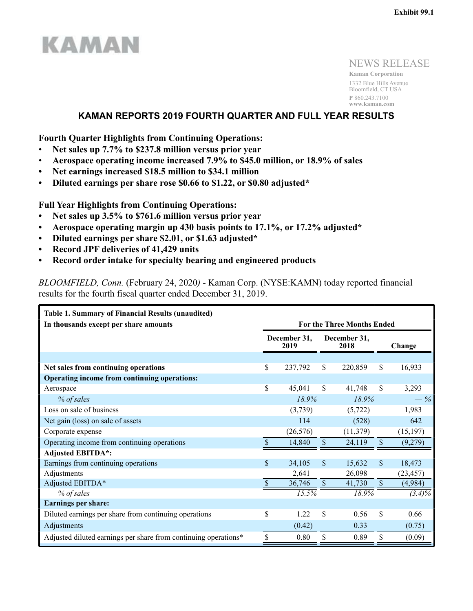

NEWS RELEASE **Kaman Corporation** 1332 Blue Hills Avenue Bloomfield, CT USA **P** 860.243.7100 **www.kaman.com**

# **KAMAN REPORTS 2019 FOURTH QUARTER AND FULL YEAR RESULTS**

**Fourth Quarter Highlights from Continuing Operations:**

- **Net sales up 7.7% to \$237.8 million versus prior year**
- **Aerospace operating income increased 7.9% to \$45.0 million, or 18.9% of sales**
- **Net earnings increased \$18.5 million to \$34.1 million**
- **Diluted earnings per share rose \$0.66 to \$1.22, or \$0.80 adjusted\***

**Full Year Highlights from Continuing Operations:**

- **Net sales up 3.5% to \$761.6 million versus prior year**
- **Aerospace operating margin up 430 basis points to 17.1%, or 17.2% adjusted\***
- **Diluted earnings per share \$2.01, or \$1.63 adjusted\***
- **Record JPF deliveries of 41,429 units**
- **Record order intake for specialty bearing and engineered products**

*BLOOMFIELD, Conn.* (February 24, 2020*)* - Kaman Corp. (NYSE:KAMN) today reported financial results for the fourth fiscal quarter ended December 31, 2019.

| <b>Table 1. Summary of Financial Results (unaudited)</b>        |               |                      |               |                                   |                           |           |  |  |  |  |  |  |
|-----------------------------------------------------------------|---------------|----------------------|---------------|-----------------------------------|---------------------------|-----------|--|--|--|--|--|--|
| In thousands except per share amounts                           |               |                      |               | <b>For the Three Months Ended</b> |                           |           |  |  |  |  |  |  |
|                                                                 |               | December 31,<br>2019 |               | December 31,<br>2018              |                           | Change    |  |  |  |  |  |  |
|                                                                 |               |                      |               |                                   |                           |           |  |  |  |  |  |  |
| Net sales from continuing operations                            | \$            | 237,792              | $\mathbb{S}$  | 220,859                           | \$                        | 16,933    |  |  |  |  |  |  |
| Operating income from continuing operations:                    |               |                      |               |                                   |                           |           |  |  |  |  |  |  |
| Aerospace                                                       | \$            | 45,041               | <sup>\$</sup> | 41,748                            | \$                        | 3,293     |  |  |  |  |  |  |
| % of sales                                                      |               | 18.9%                |               | 18.9%                             |                           | $-$ %     |  |  |  |  |  |  |
| Loss on sale of business                                        |               | (3,739)              |               | (5, 722)                          |                           | 1,983     |  |  |  |  |  |  |
| Net gain (loss) on sale of assets                               |               | 114                  |               | (528)                             |                           | 642       |  |  |  |  |  |  |
| Corporate expense                                               |               | (26, 576)            |               | (11, 379)                         |                           | (15, 197) |  |  |  |  |  |  |
| Operating income from continuing operations                     |               | 14,840               | \$            | 24,119                            | $\mathsf{\$}$             | (9,279)   |  |  |  |  |  |  |
| <b>Adjusted EBITDA*:</b>                                        |               |                      |               |                                   |                           |           |  |  |  |  |  |  |
| Earnings from continuing operations                             | $\mathbf{\$}$ | 34,105               | <sup>\$</sup> | 15,632                            | $\mathbf{\$}$             | 18,473    |  |  |  |  |  |  |
| Adjustments                                                     |               | 2,641                |               | 26,098                            |                           | (23, 457) |  |  |  |  |  |  |
| Adjusted EBITDA*                                                |               | 36,746               | $\mathbb{S}$  | 41,730                            | $\boldsymbol{\mathsf{S}}$ | (4,984)   |  |  |  |  |  |  |
| % of sales                                                      |               | 15.5%                |               | 18.9%                             |                           | $(3.4)\%$ |  |  |  |  |  |  |
| <b>Earnings per share:</b>                                      |               |                      |               |                                   |                           |           |  |  |  |  |  |  |
| Diluted earnings per share from continuing operations           | \$            | 1.22                 | <sup>\$</sup> | 0.56                              | \$                        | 0.66      |  |  |  |  |  |  |
| Adjustments                                                     |               | (0.42)               |               | 0.33                              |                           | (0.75)    |  |  |  |  |  |  |
| Adjusted diluted earnings per share from continuing operations* | \$            | 0.80                 | \$            | 0.89                              | \$                        | (0.09)    |  |  |  |  |  |  |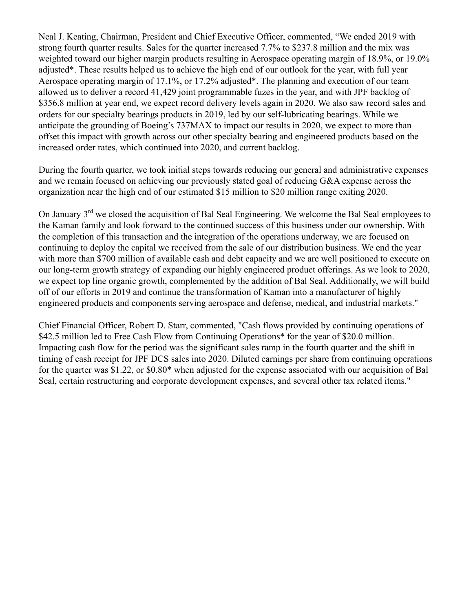Neal J. Keating, Chairman, President and Chief Executive Officer, commented, "We ended 2019 with strong fourth quarter results. Sales for the quarter increased 7.7% to \$237.8 million and the mix was weighted toward our higher margin products resulting in Aerospace operating margin of 18.9%, or 19.0% adjusted\*. These results helped us to achieve the high end of our outlook for the year, with full year Aerospace operating margin of 17.1%, or 17.2% adjusted\*. The planning and execution of our team allowed us to deliver a record 41,429 joint programmable fuzes in the year, and with JPF backlog of \$356.8 million at year end, we expect record delivery levels again in 2020. We also saw record sales and orders for our specialty bearings products in 2019, led by our self-lubricating bearings. While we anticipate the grounding of Boeing's 737MAX to impact our results in 2020, we expect to more than offset this impact with growth across our other specialty bearing and engineered products based on the increased order rates, which continued into 2020, and current backlog.

During the fourth quarter, we took initial steps towards reducing our general and administrative expenses and we remain focused on achieving our previously stated goal of reducing G&A expense across the organization near the high end of our estimated \$15 million to \$20 million range exiting 2020.

On January 3<sup>rd</sup> we closed the acquisition of Bal Seal Engineering. We welcome the Bal Seal employees to the Kaman family and look forward to the continued success of this business under our ownership. With the completion of this transaction and the integration of the operations underway, we are focused on continuing to deploy the capital we received from the sale of our distribution business. We end the year with more than \$700 million of available cash and debt capacity and we are well positioned to execute on our long-term growth strategy of expanding our highly engineered product offerings. As we look to 2020, we expect top line organic growth, complemented by the addition of Bal Seal. Additionally, we will build off of our efforts in 2019 and continue the transformation of Kaman into a manufacturer of highly engineered products and components serving aerospace and defense, medical, and industrial markets."

Chief Financial Officer, Robert D. Starr, commented, "Cash flows provided by continuing operations of \$42.5 million led to Free Cash Flow from Continuing Operations<sup>\*</sup> for the year of \$20.0 million. Impacting cash flow for the period was the significant sales ramp in the fourth quarter and the shift in timing of cash receipt for JPF DCS sales into 2020. Diluted earnings per share from continuing operations for the quarter was \$1.22, or \$0.80\* when adjusted for the expense associated with our acquisition of Bal Seal, certain restructuring and corporate development expenses, and several other tax related items."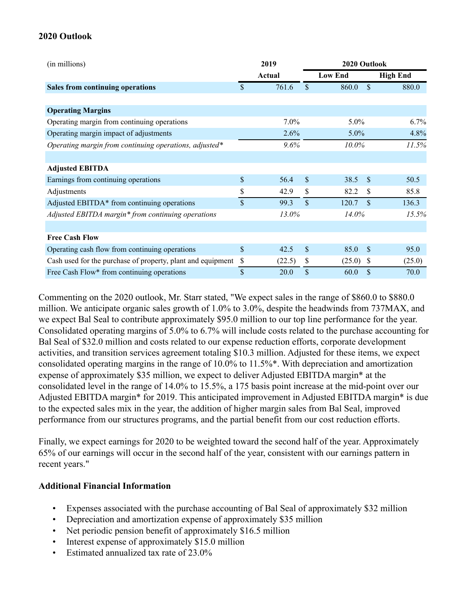# **2020 Outlook**

| (in millions)                                               |             | 2019        | 2020 Outlook |                        |                 |  |  |  |  |  |
|-------------------------------------------------------------|-------------|-------------|--------------|------------------------|-----------------|--|--|--|--|--|
|                                                             |             | Actual      |              | <b>Low End</b>         | <b>High End</b> |  |  |  |  |  |
| Sales from continuing operations                            | \$          | 761.6       | \$           | <sup>\$</sup><br>860.0 | 880.0           |  |  |  |  |  |
|                                                             |             |             |              |                        |                 |  |  |  |  |  |
| <b>Operating Margins</b>                                    |             |             |              |                        |                 |  |  |  |  |  |
| Operating margin from continuing operations                 |             | 7.0%        |              | 5.0%                   | $6.7\%$         |  |  |  |  |  |
| Operating margin impact of adjustments                      |             | 2.6%        |              | $5.0\%$                | 4.8%            |  |  |  |  |  |
| Operating margin from continuing operations, adjusted*      |             | $9.6\%$     |              | 10.0%                  | 11.5%           |  |  |  |  |  |
|                                                             |             |             |              |                        |                 |  |  |  |  |  |
| <b>Adjusted EBITDA</b>                                      |             |             |              |                        |                 |  |  |  |  |  |
| Earnings from continuing operations                         | \$          | 56.4        | \$           | 38.5<br>- \$           | 50.5            |  |  |  |  |  |
| Adjustments                                                 | \$          | 42.9        | \$           | 82.2<br>-S             | 85.8            |  |  |  |  |  |
| Adjusted EBITDA* from continuing operations                 | $\mathbf S$ | 99.3        | \$           | <sup>\$</sup><br>120.7 | 136.3           |  |  |  |  |  |
| Adjusted EBITDA margin* from continuing operations          |             | 13.0%       |              | 14.0%                  | 15.5%           |  |  |  |  |  |
|                                                             |             |             |              |                        |                 |  |  |  |  |  |
| <b>Free Cash Flow</b>                                       |             |             |              |                        |                 |  |  |  |  |  |
| Operating cash flow from continuing operations              | \$          | 42.5        | \$           | 85.0<br>-\$            | 95.0            |  |  |  |  |  |
| Cash used for the purchase of property, plant and equipment | \$          | (22.5)      | \$           | (25.0)<br>-S           | (25.0)          |  |  |  |  |  |
| Free Cash Flow* from continuing operations                  | \$          | <b>20.0</b> | \$           | \$<br>60.0             | 70.0            |  |  |  |  |  |

Commenting on the 2020 outlook, Mr. Starr stated, "We expect sales in the range of \$860.0 to \$880.0 million. We anticipate organic sales growth of 1.0% to 3.0%, despite the headwinds from 737MAX, and we expect Bal Seal to contribute approximately \$95.0 million to our top line performance for the year. Consolidated operating margins of 5.0% to 6.7% will include costs related to the purchase accounting for Bal Seal of \$32.0 million and costs related to our expense reduction efforts, corporate development activities, and transition services agreement totaling \$10.3 million. Adjusted for these items, we expect consolidated operating margins in the range of 10.0% to 11.5%\*. With depreciation and amortization expense of approximately \$35 million, we expect to deliver Adjusted EBITDA margin\* at the consolidated level in the range of 14.0% to 15.5%, a 175 basis point increase at the mid-point over our Adjusted EBITDA margin\* for 2019. This anticipated improvement in Adjusted EBITDA margin\* is due to the expected sales mix in the year, the addition of higher margin sales from Bal Seal, improved performance from our structures programs, and the partial benefit from our cost reduction efforts.

Finally, we expect earnings for 2020 to be weighted toward the second half of the year. Approximately 65% of our earnings will occur in the second half of the year, consistent with our earnings pattern in recent years."

## **Additional Financial Information**

- Expenses associated with the purchase accounting of Bal Seal of approximately \$32 million
- Depreciation and amortization expense of approximately \$35 million
- Net periodic pension benefit of approximately \$16.5 million
- Interest expense of approximately \$15.0 million
- Estimated annualized tax rate of 23.0%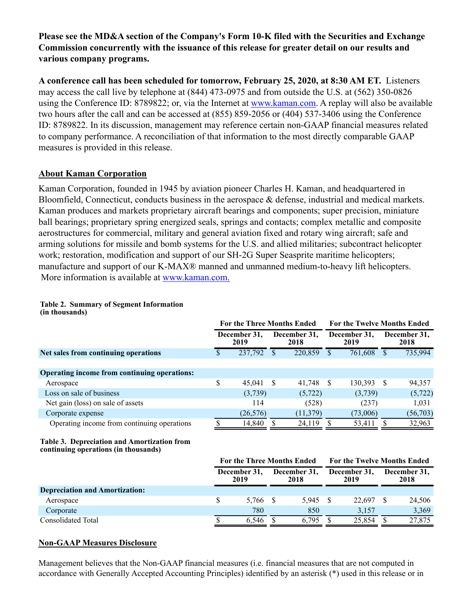**Please see the MD&A section of the Company's Form 10-K filed with the Securities and Exchange Commission concurrently with the issuance of this release for greater detail on our results and various company programs.**

**A conference call has been scheduled for tomorrow, February 25, 2020, at 8:30 AM ET.** Listeners may access the call live by telephone at (844) 473-0975 and from outside the U.S. at (562) 350-0826 using the Conference ID: 8789822; or, via the Internet at www.kaman.com. A replay will also be available two hours after the call and can be accessed at (855) 859-2056 or (404) 537-3406 using the Conference ID: 8789822. In its discussion, management may reference certain non-GAAP financial measures related to company performance. A reconciliation of that information to the most directly comparable GAAP measures is provided in this release.

## **About Kaman Corporation**

Kaman Corporation, founded in 1945 by aviation pioneer Charles H. Kaman, and headquartered in Bloomfield, Connecticut, conducts business in the aerospace & defense, industrial and medical markets. Kaman produces and markets proprietary aircraft bearings and components; super precision, miniature ball bearings; proprietary spring energized seals, springs and contacts; complex metallic and composite aerostructures for commercial, military and general aviation fixed and rotary wing aircraft; safe and arming solutions for missile and bomb systems for the U.S. and allied militaries; subcontract helicopter work; restoration, modification and support of our SH-2G Super Seasprite maritime helicopters; manufacture and support of our K-MAX® manned and unmanned medium-to-heavy lift helicopters. More information is available at www.kaman.com.

#### **Table 2. Summary of Segment Information (in thousands)**

|                                              | <b>For the Three Months Ended</b> |           |                      |           |                      | <b>For the Twelve Months Ended</b> |   |                      |  |  |  |
|----------------------------------------------|-----------------------------------|-----------|----------------------|-----------|----------------------|------------------------------------|---|----------------------|--|--|--|
|                                              | December 31,<br>2019              |           | December 31,<br>2018 |           | December 31,<br>2019 |                                    |   | December 31,<br>2018 |  |  |  |
| Net sales from continuing operations         |                                   | 237,792   |                      | 220,859   |                      | 761,608                            |   | 735,994              |  |  |  |
|                                              |                                   |           |                      |           |                      |                                    |   |                      |  |  |  |
| Operating income from continuing operations: |                                   |           |                      |           |                      |                                    |   |                      |  |  |  |
| Aerospace                                    | \$                                | 45,041    | S                    | 41,748    | - \$                 | 130,393                            | S | 94,357               |  |  |  |
| Loss on sale of business                     |                                   | (3,739)   |                      | (5, 722)  |                      | (3,739)                            |   | (5, 722)             |  |  |  |
| Net gain (loss) on sale of assets            |                                   | 114       |                      | (528)     |                      | (237)                              |   | 1.031                |  |  |  |
| Corporate expense                            |                                   | (26, 576) |                      | (11, 379) |                      | (73,006)                           |   | (56, 703)            |  |  |  |
| Operating income from continuing operations  |                                   | 14,840    |                      | 24,119    |                      | 53,411                             |   | 32,963               |  |  |  |

#### **Table 3. Depreciation and Amortization from continuing operations (in thousands)**

|                                       | For the Three Months Ended                   |  |          |  | <b>For the Twelve Months Ended</b> |                      |        |  |  |
|---------------------------------------|----------------------------------------------|--|----------|--|------------------------------------|----------------------|--------|--|--|
|                                       | December 31,<br>December 31,<br>2019<br>2018 |  |          |  | December 31,<br>2019               | December 31,<br>2018 |        |  |  |
| <b>Depreciation and Amortization:</b> |                                              |  |          |  |                                    |                      |        |  |  |
| Aerospace                             | 5.766                                        |  | 5.945 \$ |  | 22.697                             |                      | 24,506 |  |  |
| Corporate                             | 780                                          |  | 850      |  | 3.157                              |                      | 3,369  |  |  |
| Consolidated Total                    | 6.546                                        |  | 6,795    |  | 25.854                             |                      | 27,875 |  |  |

## **Non-GAAP Measures Disclosure**

Management believes that the Non-GAAP financial measures (i.e. financial measures that are not computed in accordance with Generally Accepted Accounting Principles) identified by an asterisk (\*) used in this release or in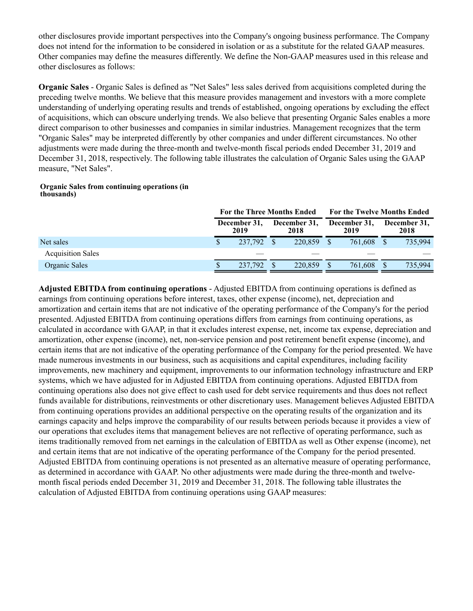other disclosures provide important perspectives into the Company's ongoing business performance. The Company does not intend for the information to be considered in isolation or as a substitute for the related GAAP measures. Other companies may define the measures differently. We define the Non-GAAP measures used in this release and other disclosures as follows:

**Organic Sales** - Organic Sales is defined as "Net Sales" less sales derived from acquisitions completed during the preceding twelve months. We believe that this measure provides management and investors with a more complete understanding of underlying operating results and trends of established, ongoing operations by excluding the effect of acquisitions, which can obscure underlying trends. We also believe that presenting Organic Sales enables a more direct comparison to other businesses and companies in similar industries. Management recognizes that the term "Organic Sales" may be interpreted differently by other companies and under different circumstances. No other adjustments were made during the three-month and twelve-month fiscal periods ended December 31, 2019 and December 31, 2018, respectively. The following table illustrates the calculation of Organic Sales using the GAAP measure, "Net Sales".

#### **Organic Sales from continuing operations (in thousands)**

|                          | For the Three Months Ended |                      |  |                      |  | <b>For the Twelve Months Ended</b> |  |                      |  |  |  |
|--------------------------|----------------------------|----------------------|--|----------------------|--|------------------------------------|--|----------------------|--|--|--|
|                          |                            | December 31.<br>2019 |  | December 31,<br>2018 |  | December 31,<br>2019               |  | December 31,<br>2018 |  |  |  |
| Net sales                |                            | 237.792              |  | 220,859              |  | 761,608                            |  | 735,994              |  |  |  |
| <b>Acquisition Sales</b> |                            |                      |  |                      |  |                                    |  |                      |  |  |  |
| Organic Sales            |                            | 237,792              |  | 220,859              |  | 761,608                            |  | 735,994              |  |  |  |

**Adjusted EBITDA from continuing operations** - Adjusted EBITDA from continuing operations is defined as earnings from continuing operations before interest, taxes, other expense (income), net, depreciation and amortization and certain items that are not indicative of the operating performance of the Company's for the period presented. Adjusted EBITDA from continuing operations differs from earnings from continuing operations, as calculated in accordance with GAAP, in that it excludes interest expense, net, income tax expense, depreciation and amortization, other expense (income), net, non-service pension and post retirement benefit expense (income), and certain items that are not indicative of the operating performance of the Company for the period presented. We have made numerous investments in our business, such as acquisitions and capital expenditures, including facility improvements, new machinery and equipment, improvements to our information technology infrastructure and ERP systems, which we have adjusted for in Adjusted EBITDA from continuing operations. Adjusted EBITDA from continuing operations also does not give effect to cash used for debt service requirements and thus does not reflect funds available for distributions, reinvestments or other discretionary uses. Management believes Adjusted EBITDA from continuing operations provides an additional perspective on the operating results of the organization and its earnings capacity and helps improve the comparability of our results between periods because it provides a view of our operations that excludes items that management believes are not reflective of operating performance, such as items traditionally removed from net earnings in the calculation of EBITDA as well as Other expense (income), net and certain items that are not indicative of the operating performance of the Company for the period presented. Adjusted EBITDA from continuing operations is not presented as an alternative measure of operating performance, as determined in accordance with GAAP. No other adjustments were made during the three-month and twelvemonth fiscal periods ended December 31, 2019 and December 31, 2018. The following table illustrates the calculation of Adjusted EBITDA from continuing operations using GAAP measures: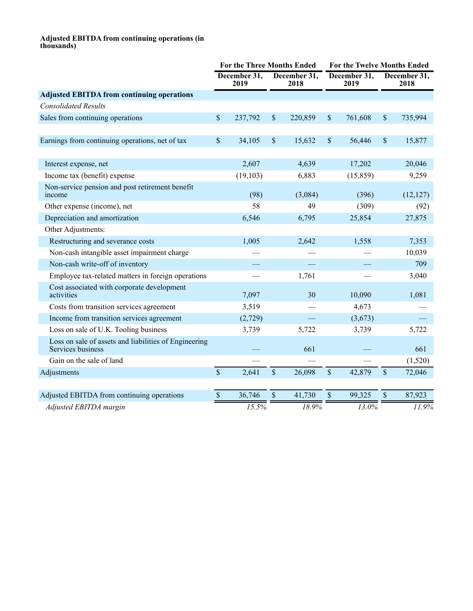#### **Adjusted EBITDA from continuing operations (in thousands)**

|                                                                            | <b>For the Three Months Ended</b> |                      |      |                      | <b>For the Twelve Months Ended</b> |                      |    |                      |  |
|----------------------------------------------------------------------------|-----------------------------------|----------------------|------|----------------------|------------------------------------|----------------------|----|----------------------|--|
|                                                                            |                                   | December 31,<br>2019 |      | December 31,<br>2018 |                                    | December 31,<br>2019 |    | December 31,<br>2018 |  |
| <b>Adjusted EBITDA from continuing operations</b>                          |                                   |                      |      |                      |                                    |                      |    |                      |  |
| <b>Consolidated Results</b>                                                |                                   |                      |      |                      |                                    |                      |    |                      |  |
| Sales from continuing operations                                           | \$                                | 237,792              | \$   | 220,859              | \$                                 | 761,608              | \$ | 735,994              |  |
|                                                                            |                                   |                      |      |                      |                                    |                      |    |                      |  |
| Earnings from continuing operations, net of tax                            | $\mathbf S$                       | 34,105               | \$   | 15,632               | \$                                 | 56,446               | \$ | 15,877               |  |
|                                                                            |                                   | 2,607                |      | 4,639                |                                    |                      |    | 20,046               |  |
| Interest expense, net                                                      |                                   |                      |      |                      |                                    | 17,202               |    |                      |  |
| Income tax (benefit) expense                                               |                                   | (19, 103)            |      | 6,883                |                                    | (15, 859)            |    | 9,259                |  |
| Non-service pension and post retirement benefit<br>income                  |                                   | (98)                 |      | (3,084)              |                                    | (396)                |    | (12, 127)            |  |
| Other expense (income), net                                                |                                   | 58                   |      | 49                   |                                    | (309)                |    | (92)                 |  |
| Depreciation and amortization                                              |                                   | 6,546                |      | 6,795                |                                    | 25,854               |    | 27,875               |  |
| Other Adjustments:                                                         |                                   |                      |      |                      |                                    |                      |    |                      |  |
| Restructuring and severance costs                                          |                                   | 1,005                |      | 2,642                |                                    | 1,558                |    | 7,353                |  |
| Non-cash intangible asset impairment charge                                |                                   |                      |      |                      |                                    |                      |    | 10,039               |  |
| Non-cash write-off of inventory                                            |                                   |                      |      |                      |                                    |                      |    | 709                  |  |
| Employee tax-related matters in foreign operations                         |                                   |                      |      | 1,761                |                                    |                      |    | 3,040                |  |
| Cost associated with corporate development<br>activities                   |                                   | 7,097                |      | 30                   |                                    | 10,090               |    | 1,081                |  |
| Costs from transition services agreement                                   |                                   | 3,519                |      |                      |                                    | 4,673                |    |                      |  |
| Income from transition services agreement                                  |                                   | (2,729)              |      |                      |                                    | (3,673)              |    |                      |  |
| Loss on sale of U.K. Tooling business                                      |                                   | 3,739                |      | 5,722                |                                    | 3,739                |    | 5,722                |  |
| Loss on sale of assets and liabilities of Engineering<br>Services business |                                   |                      |      | 661                  |                                    |                      |    | 661                  |  |
| Gain on the sale of land                                                   |                                   |                      |      |                      |                                    |                      |    | (1,520)              |  |
| Adjustments                                                                | $\mathbf{\hat{S}}$                | 2,641                | \$   | 26,098               | \$                                 | 42,879               | \$ | 72,046               |  |
| Adjusted EBITDA from continuing operations                                 | $\mathcal{S}$                     | 36,746               | $\$$ | 41,730               | \$                                 | 99,325               | \$ | 87,923               |  |
| Adjusted EBITDA margin                                                     |                                   | 15.5%                |      | 18.9%                |                                    | 13.0%                |    | 11.9%                |  |
|                                                                            |                                   |                      |      |                      |                                    |                      |    |                      |  |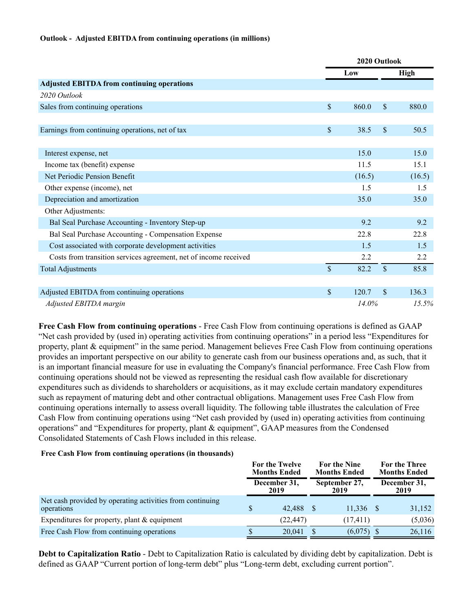#### **Outlook - Adjusted EBITDA from continuing operations (in millions)**

|                                                                  |               | 2020 Outlook |                    |             |  |  |
|------------------------------------------------------------------|---------------|--------------|--------------------|-------------|--|--|
|                                                                  |               | Low          |                    | <b>High</b> |  |  |
| <b>Adjusted EBITDA from continuing operations</b>                |               |              |                    |             |  |  |
| 2020 Outlook                                                     |               |              |                    |             |  |  |
| Sales from continuing operations                                 | $\mathsf{\$}$ | 860.0        | \$                 | 880.0       |  |  |
|                                                                  |               |              |                    |             |  |  |
| Earnings from continuing operations, net of tax                  | $\mathsf{\$}$ | 38.5         | \$                 | 50.5        |  |  |
|                                                                  |               |              |                    |             |  |  |
| Interest expense, net                                            |               | 15.0         |                    | 15.0        |  |  |
| Income tax (benefit) expense                                     |               | 11.5         |                    | 15.1        |  |  |
| Net Periodic Pension Benefit                                     |               | (16.5)       |                    | (16.5)      |  |  |
| Other expense (income), net                                      |               | 1.5          |                    | 1.5         |  |  |
| Depreciation and amortization                                    |               | 35.0         |                    | 35.0        |  |  |
| Other Adjustments:                                               |               |              |                    |             |  |  |
| Bal Seal Purchase Accounting - Inventory Step-up                 |               | 9.2          |                    | 9.2         |  |  |
| Bal Seal Purchase Accounting - Compensation Expense              |               | 22.8         |                    | 22.8        |  |  |
| Cost associated with corporate development activities            |               | 1.5          |                    | 1.5         |  |  |
| Costs from transition services agreement, net of income received |               | 2.2          |                    | 2.2         |  |  |
| <b>Total Adjustments</b>                                         | \$            | 82.2         | $\mathbf{\hat{S}}$ | 85.8        |  |  |
|                                                                  |               |              |                    |             |  |  |
| Adjusted EBITDA from continuing operations                       | $\mathsf{\$}$ | 120.7        | $\mathbf{\hat{S}}$ | 136.3       |  |  |
| Adjusted EBITDA margin                                           |               | $14.0\%$     |                    | 15.5%       |  |  |

**Free Cash Flow from continuing operations** - Free Cash Flow from continuing operations is defined as GAAP "Net cash provided by (used in) operating activities from continuing operations" in a period less "Expenditures for property, plant & equipment" in the same period. Management believes Free Cash Flow from continuing operations provides an important perspective on our ability to generate cash from our business operations and, as such, that it is an important financial measure for use in evaluating the Company's financial performance. Free Cash Flow from continuing operations should not be viewed as representing the residual cash flow available for discretionary expenditures such as dividends to shareholders or acquisitions, as it may exclude certain mandatory expenditures such as repayment of maturing debt and other contractual obligations. Management uses Free Cash Flow from continuing operations internally to assess overall liquidity. The following table illustrates the calculation of Free Cash Flow from continuing operations using "Net cash provided by (used in) operating activities from continuing operations" and "Expenditures for property, plant & equipment", GAAP measures from the Condensed Consolidated Statements of Cash Flows included in this release.

#### **Free Cash Flow from continuing operations (in thousands)**

|                                                                         | For the Twelve<br><b>Months Ended</b> |                      | <b>For the Nine</b><br><b>Months Ended</b><br>September 27,<br>2019 |              |  | For the Three<br><b>Months Ended</b> |
|-------------------------------------------------------------------------|---------------------------------------|----------------------|---------------------------------------------------------------------|--------------|--|--------------------------------------|
|                                                                         |                                       | December 31,<br>2019 |                                                                     |              |  | December 31,<br>2019                 |
| Net cash provided by operating activities from continuing<br>operations |                                       | 42.488 \$            |                                                                     | $11,336$ \$  |  | 31,152                               |
| Expenditures for property, plant $&$ equipment                          |                                       | (22, 447)            |                                                                     | (17, 411)    |  | (5,036)                              |
| Free Cash Flow from continuing operations                               |                                       | 20.041               |                                                                     | $(6,075)$ \$ |  | 26,116                               |

**Debt to Capitalization Ratio** - Debt to Capitalization Ratio is calculated by dividing debt by capitalization. Debt is defined as GAAP "Current portion of long-term debt" plus "Long-term debt, excluding current portion".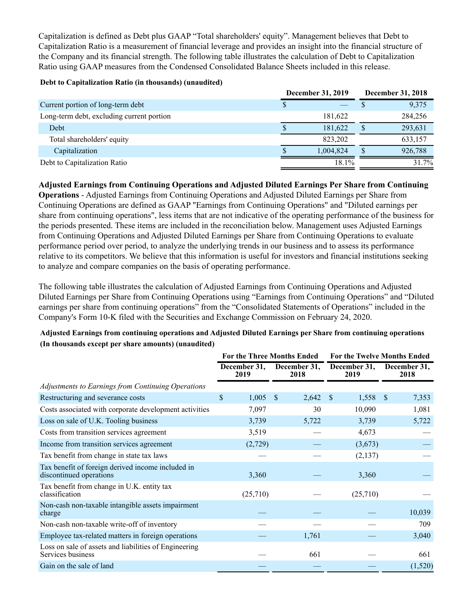Capitalization is defined as Debt plus GAAP "Total shareholders' equity". Management believes that Debt to Capitalization Ratio is a measurement of financial leverage and provides an insight into the financial structure of the Company and its financial strength. The following table illustrates the calculation of Debt to Capitalization Ratio using GAAP measures from the Condensed Consolidated Balance Sheets included in this release.

#### **Debt to Capitalization Ratio (in thousands) (unaudited)**

|                                           | December 31, 2019 |           | December 31, 2018 |
|-------------------------------------------|-------------------|-----------|-------------------|
| Current portion of long-term debt         | Φ                 |           | 9,375             |
| Long-term debt, excluding current portion |                   | 181.622   | 284,256           |
| Debt                                      |                   | 181.622   | 293,631           |
| Total shareholders' equity                |                   | 823.202   | 633,157           |
| Capitalization                            |                   | 1.004.824 | 926,788           |
| Debt to Capitalization Ratio              |                   | 18.1%     | 31.7%             |

**Adjusted Earnings from Continuing Operations and Adjusted Diluted Earnings Per Share from Continuing Operations** - Adjusted Earnings from Continuing Operations and Adjusted Diluted Earnings per Share from Continuing Operations are defined as GAAP "Earnings from Continuing Operations" and "Diluted earnings per share from continuing operations", less items that are not indicative of the operating performance of the business for the periods presented. These items are included in the reconciliation below. Management uses Adjusted Earnings from Continuing Operations and Adjusted Diluted Earnings per Share from Continuing Operations to evaluate performance period over period, to analyze the underlying trends in our business and to assess its performance relative to its competitors. We believe that this information is useful for investors and financial institutions seeking to analyze and compare companies on the basis of operating performance.

The following table illustrates the calculation of Adjusted Earnings from Continuing Operations and Adjusted Diluted Earnings per Share from Continuing Operations using "Earnings from Continuing Operations" and "Diluted earnings per share from continuing operations" from the "Consolidated Statements of Operations" included in the Company's Form 10-K filed with the Securities and Exchange Commission on February 24, 2020.

### **Adjusted Earnings from continuing operations and Adjusted Diluted Earnings per Share from continuing operations (In thousands except per share amounts) (unaudited)**

|                                                                              |                      | <b>For the Three Months Ended</b> | For the Twelve Months Ended |                       |  |  |  |
|------------------------------------------------------------------------------|----------------------|-----------------------------------|-----------------------------|-----------------------|--|--|--|
|                                                                              | December 31,<br>2019 | December 31,<br>2018              | December 31,<br>2019        | December 31,<br>2018  |  |  |  |
| Adjustments to Earnings from Continuing Operations                           |                      |                                   |                             |                       |  |  |  |
| Restructuring and severance costs                                            | \$<br>1,005          | 2,642<br><sup>S</sup>             | 1,558<br>-S                 | 7,353<br><sup>S</sup> |  |  |  |
| Costs associated with corporate development activities                       | 7,097                | 30                                | 10,090                      | 1,081                 |  |  |  |
| Loss on sale of U.K. Tooling business                                        | 3,739                | 5,722                             | 3,739                       | 5,722                 |  |  |  |
| Costs from transition services agreement                                     | 3,519                |                                   | 4,673                       |                       |  |  |  |
| Income from transition services agreement                                    | (2,729)              |                                   | (3,673)                     |                       |  |  |  |
| Tax benefit from change in state tax laws                                    |                      |                                   | (2,137)                     |                       |  |  |  |
| Tax benefit of foreign derived income included in<br>discontinued operations | 3,360                |                                   | 3,360                       |                       |  |  |  |
| Tax benefit from change in U.K. entity tax<br>classification                 | (25,710)             |                                   | (25,710)                    |                       |  |  |  |
| Non-cash non-taxable intangible assets impairment<br>charge                  |                      |                                   |                             | 10,039                |  |  |  |
| Non-cash non-taxable write-off of inventory                                  |                      |                                   |                             | 709                   |  |  |  |
| Employee tax-related matters in foreign operations                           |                      | 1,761                             |                             | 3,040                 |  |  |  |
| Loss on sale of assets and liabilities of Engineering<br>Services business   |                      | 661                               |                             | 661                   |  |  |  |
| Gain on the sale of land                                                     |                      |                                   |                             | (1,520)               |  |  |  |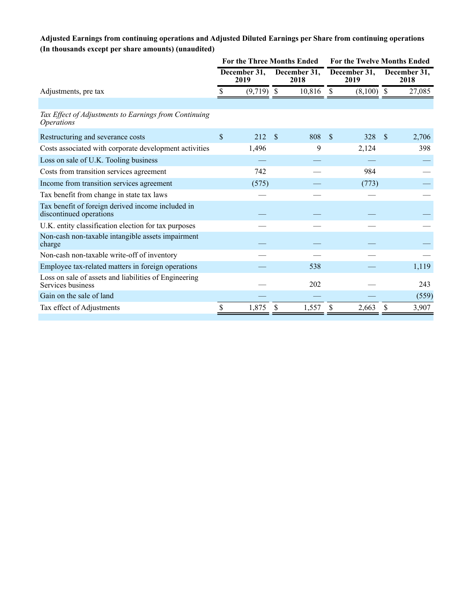## **Adjusted Earnings from continuing operations and Adjusted Diluted Earnings per Share from continuing operations (In thousands except per share amounts) (unaudited)**

|                                                                              | <b>For the Three Months Ended</b> |                      |                      |        | <b>For the Twelve Months Ended</b> |              |               |                      |  |
|------------------------------------------------------------------------------|-----------------------------------|----------------------|----------------------|--------|------------------------------------|--------------|---------------|----------------------|--|
|                                                                              |                                   | December 31,<br>2019 | December 31,<br>2018 |        | December 31,<br>2019               |              |               | December 31,<br>2018 |  |
| Adjustments, pre tax                                                         |                                   | $(9,719)$ \$         |                      | 10,816 | -S                                 | $(8,100)$ \$ |               | 27,085               |  |
|                                                                              |                                   |                      |                      |        |                                    |              |               |                      |  |
| Tax Effect of Adjustments to Earnings from Continuing<br><i>Operations</i>   |                                   |                      |                      |        |                                    |              |               |                      |  |
| Restructuring and severance costs                                            | \$                                | 212                  | <sup>\$</sup>        | 808    | <sup>\$</sup>                      | 328          | <sup>\$</sup> | 2,706                |  |
| Costs associated with corporate development activities                       |                                   | 1,496                |                      | 9      |                                    | 2,124        |               | 398                  |  |
| Loss on sale of U.K. Tooling business                                        |                                   |                      |                      |        |                                    |              |               |                      |  |
| Costs from transition services agreement                                     |                                   | 742                  |                      |        |                                    | 984          |               |                      |  |
| Income from transition services agreement                                    |                                   | (575)                |                      |        |                                    | (773)        |               |                      |  |
| Tax benefit from change in state tax laws                                    |                                   |                      |                      |        |                                    |              |               |                      |  |
| Tax benefit of foreign derived income included in<br>discontinued operations |                                   |                      |                      |        |                                    |              |               |                      |  |
| U.K. entity classification election for tax purposes                         |                                   |                      |                      |        |                                    |              |               |                      |  |
| Non-cash non-taxable intangible assets impairment<br>charge                  |                                   |                      |                      |        |                                    |              |               |                      |  |
| Non-cash non-taxable write-off of inventory                                  |                                   |                      |                      |        |                                    |              |               |                      |  |
| Employee tax-related matters in foreign operations                           |                                   |                      |                      | 538    |                                    |              |               | 1,119                |  |
| Loss on sale of assets and liabilities of Engineering<br>Services business   |                                   |                      |                      | 202    |                                    |              |               | 243                  |  |
| Gain on the sale of land                                                     |                                   |                      |                      |        |                                    |              |               | (559)                |  |
| Tax effect of Adjustments                                                    |                                   | 1,875                |                      | 1,557  |                                    | 2,663        |               | 3,907                |  |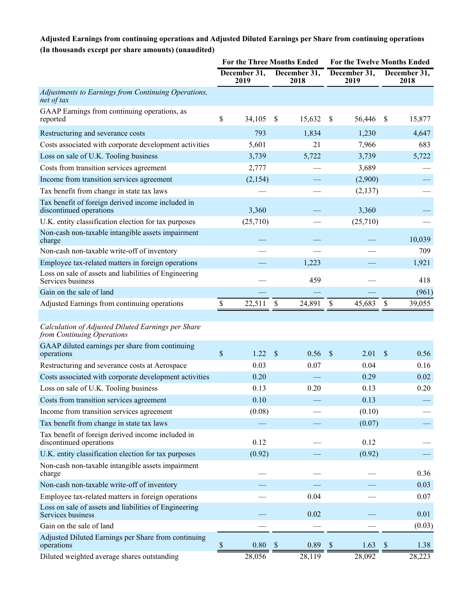## **Adjusted Earnings from continuing operations and Adjusted Diluted Earnings per Share from continuing operations (In thousands except per share amounts) (unaudited)**

|                                                                                  | <b>For the Three Months Ended</b> |                      |              | For the Twelve Months Ended |               |                      |                           |                      |
|----------------------------------------------------------------------------------|-----------------------------------|----------------------|--------------|-----------------------------|---------------|----------------------|---------------------------|----------------------|
|                                                                                  |                                   | December 31,<br>2019 |              | December 31,<br>2018        |               | December 31,<br>2019 |                           | December 31,<br>2018 |
| Adjustments to Earnings from Continuing Operations,<br>net of tax                |                                   |                      |              |                             |               |                      |                           |                      |
| GAAP Earnings from continuing operations, as<br>reported                         | \$                                | 34,105               | \$           | 15,632                      | \$            | 56,446               | \$                        | 15,877               |
| Restructuring and severance costs                                                |                                   | 793                  |              | 1,834                       |               | 1,230                |                           | 4,647                |
| Costs associated with corporate development activities                           |                                   | 5,601                |              | 21                          |               | 7,966                |                           | 683                  |
| Loss on sale of U.K. Tooling business                                            |                                   | 3,739                |              | 5,722                       |               | 3,739                |                           | 5,722                |
| Costs from transition services agreement                                         |                                   | 2,777                |              |                             |               | 3,689                |                           |                      |
| Income from transition services agreement                                        |                                   | (2,154)              |              |                             |               | (2,900)              |                           |                      |
| Tax benefit from change in state tax laws                                        |                                   |                      |              |                             |               | (2,137)              |                           |                      |
| Tax benefit of foreign derived income included in<br>discontinued operations     |                                   | 3,360                |              |                             |               | 3,360                |                           |                      |
| U.K. entity classification election for tax purposes                             |                                   | (25,710)             |              |                             |               | (25,710)             |                           |                      |
| Non-cash non-taxable intangible assets impairment<br>charge                      |                                   |                      |              |                             |               |                      |                           | 10,039               |
| Non-cash non-taxable write-off of inventory                                      |                                   |                      |              |                             |               |                      |                           | 709                  |
| Employee tax-related matters in foreign operations                               |                                   |                      |              | 1,223                       |               |                      |                           | 1,921                |
| Loss on sale of assets and liabilities of Engineering<br>Services business       |                                   |                      |              | 459                         |               |                      |                           | 418                  |
| Gain on the sale of land                                                         |                                   |                      |              |                             |               |                      |                           | (961)                |
| Adjusted Earnings from continuing operations                                     | \$                                | 22,511               | S            | 24,891                      | \$            | 45,683               | $\boldsymbol{\mathsf{S}}$ | 39,055               |
|                                                                                  |                                   |                      |              |                             |               |                      |                           |                      |
| Calculation of Adjusted Diluted Earnings per Share<br>from Continuing Operations |                                   |                      |              |                             |               |                      |                           |                      |
| GAAP diluted earnings per share from continuing<br>operations                    | \$                                | 1.22                 | $\mathbb{S}$ | 0.56                        | $\mathcal{S}$ | 2.01                 | $\mathcal{S}$             | 0.56                 |
| Restructuring and severance costs at Aerospace                                   |                                   | 0.03                 |              | 0.07                        |               | 0.04                 |                           | 0.16                 |
| Costs associated with corporate development activities                           |                                   | 0.20                 |              |                             |               | 0.29                 |                           | 0.02                 |
| Loss on sale of U.K. Tooling business                                            |                                   | 0.13                 |              | 0.20                        |               | 0.13                 |                           | 0.20                 |
| Costs from transition services agreement                                         |                                   | 0.10                 |              |                             |               | 0.13                 |                           |                      |
| Income from transition services agreement                                        |                                   | (0.08)               |              |                             |               | (0.10)               |                           |                      |
| Tax benefit from change in state tax laws                                        |                                   |                      |              |                             |               | (0.07)               |                           |                      |
| Tax benefit of foreign derived income included in<br>discontinued operations     |                                   | 0.12                 |              |                             |               | 0.12                 |                           |                      |
| U.K. entity classification election for tax purposes                             |                                   | (0.92)               |              |                             |               | (0.92)               |                           |                      |
| Non-cash non-taxable intangible assets impairment<br>charge                      |                                   |                      |              |                             |               |                      |                           | 0.36                 |
| Non-cash non-taxable write-off of inventory                                      |                                   |                      |              |                             |               |                      |                           | 0.03                 |
| Employee tax-related matters in foreign operations                               |                                   |                      |              | 0.04                        |               |                      |                           | 0.07                 |
| Loss on sale of assets and liabilities of Engineering<br>Services business       |                                   |                      |              | 0.02                        |               |                      |                           | 0.01                 |
| Gain on the sale of land                                                         |                                   |                      |              |                             |               |                      |                           | (0.03)               |
| Adjusted Diluted Earnings per Share from continuing<br>operations                | \$                                | $0.80\,$             | <sup>S</sup> | 0.89                        | $\sqrt{3}$    | 1.63                 | $\boldsymbol{\mathsf{S}}$ | 1.38                 |
| Diluted weighted average shares outstanding                                      |                                   | 28,056               |              | 28,119                      |               | 28,092               |                           | 28,223               |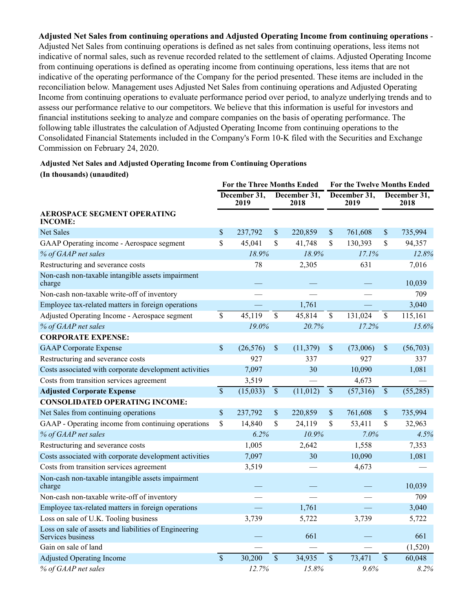**Adjusted Net Sales from continuing operations and Adjusted Operating Income from continuing operations** - Adjusted Net Sales from continuing operations is defined as net sales from continuing operations, less items not indicative of normal sales, such as revenue recorded related to the settlement of claims. Adjusted Operating Income from continuing operations is defined as operating income from continuing operations, less items that are not indicative of the operating performance of the Company for the period presented. These items are included in the reconciliation below. Management uses Adjusted Net Sales from continuing operations and Adjusted Operating Income from continuing operations to evaluate performance period over period, to analyze underlying trends and to assess our performance relative to our competitors. We believe that this information is useful for investors and financial institutions seeking to analyze and compare companies on the basis of operating performance. The following table illustrates the calculation of Adjusted Operating Income from continuing operations to the Consolidated Financial Statements included in the Company's Form 10-K filed with the Securities and Exchange Commission on February 24, 2020.

### **Adjusted Net Sales and Adjusted Operating Income from Continuing Operations (In thousands) (unaudited)**

|                                                                            | <b>For the Three Months Ended</b>            |           |               | For the Twelve Months Ended |                          |                      |                           |          |
|----------------------------------------------------------------------------|----------------------------------------------|-----------|---------------|-----------------------------|--------------------------|----------------------|---------------------------|----------|
|                                                                            | December 31,<br>December 31,<br>2019<br>2018 |           |               | December 31,<br>2019        |                          | December 31,<br>2018 |                           |          |
| <b>AEROSPACE SEGMENT OPERATING</b><br><b>INCOME:</b>                       |                                              |           |               |                             |                          |                      |                           |          |
| Net Sales                                                                  | \$                                           | 237,792   | \$            | 220,859                     | \$                       | 761,608              | \$                        | 735,994  |
| GAAP Operating income - Aerospace segment                                  | \$                                           | 45,041    | \$            | 41,748                      | \$                       | 130,393              | \$                        | 94,357   |
| % of GAAP net sales                                                        |                                              | 18.9%     |               | 18.9%                       |                          | 17.1%                |                           | 12.8%    |
| Restructuring and severance costs                                          |                                              | 78        |               | 2,305                       |                          | 631                  |                           | 7,016    |
| Non-cash non-taxable intangible assets impairment<br>charge                |                                              |           |               |                             |                          |                      |                           | 10,039   |
| Non-cash non-taxable write-off of inventory                                |                                              |           |               |                             |                          |                      |                           | 709      |
| Employee tax-related matters in foreign operations                         |                                              |           |               | 1,761                       |                          |                      |                           | 3,040    |
| Adjusted Operating Income - Aerospace segment                              | $\overline{\$}$                              | 45,119    | \$            | 45,814                      | $\overline{\mathcal{S}}$ | 131,024              | $\overline{\mathcal{S}}$  | 115,161  |
| % of GAAP net sales                                                        |                                              | 19.0%     |               | 20.7%                       |                          | 17.2%                |                           | 15.6%    |
| <b>CORPORATE EXPENSE:</b>                                                  |                                              |           |               |                             |                          |                      |                           |          |
| <b>GAAP</b> Corporate Expense                                              | \$                                           | (26, 576) | \$            | (11, 379)                   | \$                       | (73,006)             | $\boldsymbol{\mathsf{S}}$ | (56,703) |
| Restructuring and severance costs                                          |                                              | 927       |               | 337                         |                          | 927                  |                           | 337      |
| Costs associated with corporate development activities                     |                                              | 7,097     |               | 30                          |                          | 10,090               |                           | 1,081    |
| Costs from transition services agreement                                   |                                              | 3,519     |               |                             |                          | 4,673                |                           |          |
| <b>Adjusted Corporate Expense</b>                                          | $\overline{\$}$                              | (15,033)  | $\mathcal{S}$ | (11, 012)                   | $\mathcal{S}$            | (57,316)             | $\mathcal{S}$             | (55,285) |
| <b>CONSOLIDATED OPERATING INCOME:</b>                                      |                                              |           |               |                             |                          |                      |                           |          |
| Net Sales from continuing operations                                       | \$                                           | 237,792   | \$            | 220,859                     | \$                       | 761,608              | \$                        | 735,994  |
| GAAP - Operating income from continuing operations                         | \$                                           | 14,840    | \$            | 24,119                      | \$                       | 53,411               | \$                        | 32,963   |
| % of GAAP net sales                                                        |                                              | 6.2%      |               | 10.9%                       |                          | 7.0%                 |                           | 4.5%     |
| Restructuring and severance costs                                          |                                              | 1,005     |               | 2,642                       |                          | 1,558                |                           | 7,353    |
| Costs associated with corporate development activities                     |                                              | 7,097     |               | 30                          |                          | 10,090               |                           | 1,081    |
| Costs from transition services agreement                                   |                                              | 3,519     |               |                             |                          | 4,673                |                           |          |
| Non-cash non-taxable intangible assets impairment<br>charge                |                                              |           |               |                             |                          |                      |                           | 10,039   |
| Non-cash non-taxable write-off of inventory                                |                                              |           |               |                             |                          |                      |                           | 709      |
| Employee tax-related matters in foreign operations                         |                                              |           |               | 1,761                       |                          |                      |                           | 3,040    |
| Loss on sale of U.K. Tooling business                                      |                                              | 3,739     |               | 5,722                       |                          | 3,739                |                           | 5,722    |
| Loss on sale of assets and liabilities of Engineering<br>Services business |                                              |           |               | 661                         |                          |                      |                           | 661      |
| Gain on sale of land                                                       |                                              |           |               |                             |                          |                      |                           | (1,520)  |
| <b>Adjusted Operating Income</b>                                           | $\overline{\mathcal{S}}$                     | 30,200    | \$            | 34,935                      | $\overline{\mathcal{S}}$ | 73,471               | $\overline{\$}$           | 60,048   |
| % of GAAP net sales                                                        |                                              | 12.7%     |               | 15.8%                       |                          | 9.6%                 |                           | 8.2%     |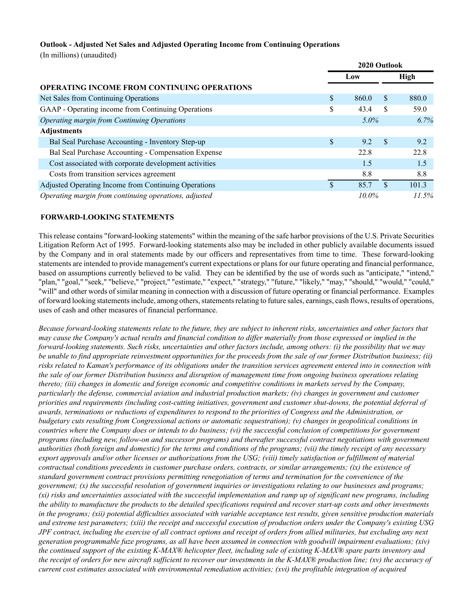#### **Outlook - Adjusted Net Sales and Adjusted Operating Income from Continuing Operations**

(In millions) (unaudited)

|                                                       | 2020 Outlook |     |       |  |
|-------------------------------------------------------|--------------|-----|-------|--|
|                                                       | Low          |     | High  |  |
| <b>OPERATING INCOME FROM CONTINUING OPERATIONS</b>    |              |     |       |  |
| Net Sales from Continuing Operations                  | \$<br>860.0  | \$. | 880.0 |  |
| GAAP - Operating income from Continuing Operations    | \$<br>43.4   | \$. | 59.0  |  |
| Operating margin from Continuing Operations           | $5.0\%$      |     | 6.7%  |  |
| <b>Adjustments</b>                                    |              |     |       |  |
| Bal Seal Purchase Accounting - Inventory Step-up      | \$<br>9.2    | -S  | 9.2   |  |
| Bal Seal Purchase Accounting - Compensation Expense   | 22.8         |     | 22.8  |  |
| Cost associated with corporate development activities | 1.5          |     | 1.5   |  |
| Costs from transition services agreement              | 8.8          |     | 8.8   |  |
| Adjusted Operating Income from Continuing Operations  | 85.7         | \$. | 101.3 |  |
| Operating margin from continuing operations, adjusted | $10.0\%$     |     | 11.5% |  |

#### **FORWARD-LOOKING STATEMENTS**

This release contains "forward-looking statements" within the meaning of the safe harbor provisions of the U.S. Private Securities Litigation Reform Act of 1995. Forward-looking statements also may be included in other publicly available documents issued by the Company and in oral statements made by our officers and representatives from time to time. These forward-looking statements are intended to provide management's current expectations or plans for our future operating and financial performance, based on assumptions currently believed to be valid. They can be identified by the use of words such as "anticipate," "intend," "plan," "goal," "seek," "believe," "project," "estimate," "expect," "strategy," "future," "likely," "may," "should," "would," "could," "will" and other words of similar meaning in connection with a discussion of future operating or financial performance. Examples of forward looking statements include, among others, statements relating to future sales, earnings, cash flows, results of operations, uses of cash and other measures of financial performance.

*Because forward-looking statements relate to the future, they are subject to inherent risks, uncertainties and other factors that may cause the Company's actual results and financial condition to differ materially from those expressed or implied in the forward-looking statements. Such risks, uncertainties and other factors include, among others: (i) the possibility that we may be unable to find appropriate reinvestment opportunities for the proceeds from the sale of our former Distribution business; (ii) risks related to Kaman's performance of its obligations under the transition services agreement entered into in connection with the sale of our former Distribution business and disruption of management time from ongoing business operations relating thereto; (iii) changes in domestic and foreign economic and competitive conditions in markets served by the Company, particularly the defense, commercial aviation and industrial production markets; (iv) changes in government and customer priorities and requirements (including cost-cutting initiatives, government and customer shut-downs, the potential deferral of awards, terminations or reductions of expenditures to respond to the priorities of Congress and the Administration, or budgetary cuts resulting from Congressional actions or automatic sequestration); (v) changes in geopolitical conditions in countries where the Company does or intends to do business; (vi) the successful conclusion of competitions for government programs (including new, follow-on and successor programs) and thereafter successful contract negotiations with government authorities (both foreign and domestic) for the terms and conditions of the programs; (vii) the timely receipt of any necessary export approvals and/or other licenses or authorizations from the USG; (viii) timely satisfaction or fulfillment of material contractual conditions precedents in customer purchase orders, contracts, or similar arrangements; (ix) the existence of standard government contract provisions permitting renegotiation of terms and termination for the convenience of the government; (x) the successful resolution of government inquiries or investigations relating to our businesses and programs; (xi) risks and uncertainties associated with the successful implementation and ramp up of significant new programs, including the ability to manufacture the products to the detailed specifications required and recover start-up costs and other investments in the programs; (xii) potential difficulties associated with variable acceptance test results, given sensitive production materials and extreme test parameters; (xiii) the receipt and successful execution of production orders under the Company's existing USG JPF contract, including the exercise of all contract options and receipt of orders from allied militaries, but excluding any next generation programmable fuze programs, as all have been assumed in connection with goodwill impairment evaluations; (xiv) the continued support of the existing K-MAX® helicopter fleet, including sale of existing K-MAX® spare parts inventory and the receipt of orders for new aircraft sufficient to recover our investments in the K-MAX® production line; (xv) the accuracy of current cost estimates associated with environmental remediation activities; (xvi) the profitable integration of acquired*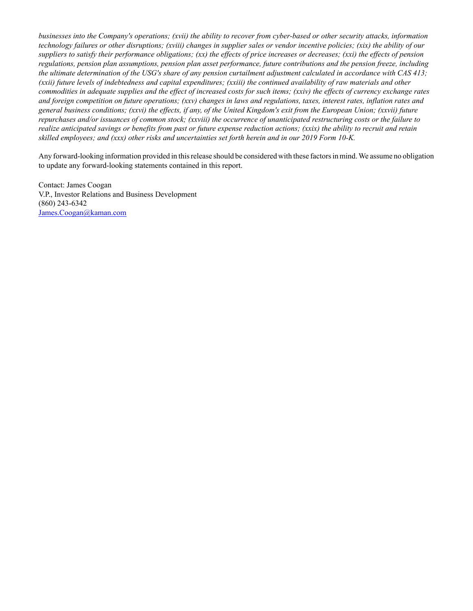*businesses into the Company's operations; (xvii) the ability to recover from cyber-based or other security attacks, information technology failures or other disruptions; (xviii) changes in supplier sales or vendor incentive policies; (xix) the ability of our suppliers to satisfy their performance obligations; (xx) the effects of price increases or decreases; (xxi) the effects of pension regulations, pension plan assumptions, pension plan asset performance, future contributions and the pension freeze, including the ultimate determination of the USG's share of any pension curtailment adjustment calculated in accordance with CAS 413; (xxii) future levels of indebtedness and capital expenditures; (xxiii) the continued availability of raw materials and other commodities in adequate supplies and the effect of increased costs for such items; (xxiv) the effects of currency exchange rates and foreign competition on future operations; (xxv) changes in laws and regulations, taxes, interest rates, inflation rates and general business conditions; (xxvi) the effects, if any, of the United Kingdom's exit from the European Union; (xxvii) future repurchases and/or issuances of common stock; (xxviii) the occurrence of unanticipated restructuring costs or the failure to realize anticipated savings or benefits from past or future expense reduction actions; (xxix) the ability to recruit and retain skilled employees; and (xxx) other risks and uncertainties set forth herein and in our 2019 Form 10-K.*

Any forward-looking information provided in this release should be considered with these factors in mind. We assume no obligation to update any forward-looking statements contained in this report.

Contact: James Coogan V.P., Investor Relations and Business Development (860) 243-6342 James.Coogan@kaman.com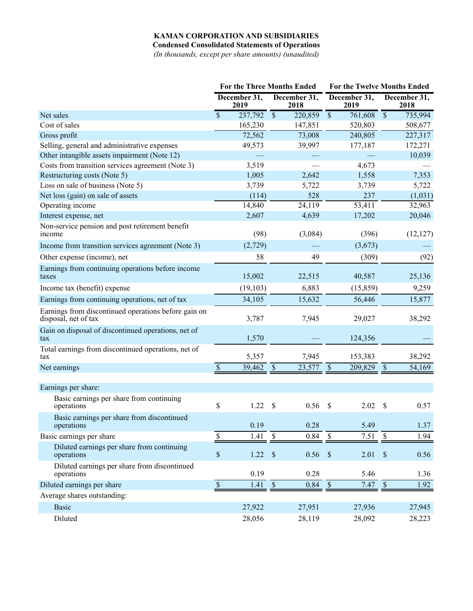**Condensed Consolidated Statements of Operations**

*(In thousands, except per share amounts) (unaudited)*

|                                                                              | <b>For the Three Months Ended</b> |                      |                 | For the Twelve Months Ended |                          |                      |                           |                      |
|------------------------------------------------------------------------------|-----------------------------------|----------------------|-----------------|-----------------------------|--------------------------|----------------------|---------------------------|----------------------|
|                                                                              |                                   | December 31,<br>2019 |                 | December 31,<br>2018        |                          | December 31,<br>2019 |                           | December 31,<br>2018 |
| Net sales                                                                    | $\overline{\mathcal{S}}$          | 237,792              | $\overline{\$}$ | 220,859                     | $\overline{\$}$          | 761,608              | $\overline{\mathcal{S}}$  | 735,994              |
| Cost of sales                                                                |                                   | 165,230              |                 | 147,851                     |                          | 520,803              |                           | 508,677              |
| Gross profit                                                                 |                                   | 72,562               |                 | 73,008                      |                          | 240,805              |                           | 227,317              |
| Selling, general and administrative expenses                                 |                                   | 49,573               |                 | 39,997                      |                          | 177,187              |                           | 172,271              |
| Other intangible assets impairment (Note 12)                                 |                                   |                      |                 |                             |                          |                      |                           | 10,039               |
| Costs from transition services agreement (Note 3)                            |                                   | 3,519                |                 |                             |                          | 4,673                |                           |                      |
| Restructuring costs (Note 5)                                                 |                                   | 1,005                |                 | 2,642                       |                          | 1,558                |                           | 7,353                |
| Loss on sale of business (Note 5)                                            |                                   | 3,739                |                 | 5,722                       |                          | 3,739                |                           | 5,722                |
| Net loss (gain) on sale of assets                                            |                                   | (114)                |                 | 528                         |                          | 237                  |                           | (1,031)              |
| Operating income                                                             |                                   | 14,840               |                 | 24,119                      |                          | 53,411               |                           | 32,963               |
| Interest expense, net                                                        |                                   | 2,607                |                 | 4,639                       |                          | 17,202               |                           | 20,046               |
| Non-service pension and post retirement benefit<br>income                    |                                   | (98)                 |                 | (3,084)                     |                          | (396)                |                           | (12, 127)            |
| Income from transition services agreement (Note 3)                           |                                   | (2,729)              |                 |                             |                          | (3,673)              |                           |                      |
| Other expense (income), net                                                  |                                   | 58                   |                 | 49                          |                          | (309)                |                           | (92)                 |
| Earnings from continuing operations before income<br>taxes                   |                                   | 15,002               |                 | 22,515                      |                          | 40,587               |                           | 25,136               |
| Income tax (benefit) expense                                                 |                                   | (19, 103)            |                 | 6,883                       |                          | (15, 859)            |                           | 9,259                |
| Earnings from continuing operations, net of tax                              |                                   | 34,105               |                 | 15,632                      |                          | 56,446               |                           | 15,877               |
| Earnings from discontinued operations before gain on<br>disposal, net of tax |                                   | 3,787                |                 | 7,945                       |                          | 29,027               |                           | 38,292               |
| Gain on disposal of discontinued operations, net of<br>tax                   |                                   | 1,570                |                 |                             |                          | 124,356              |                           |                      |
| Total earnings from discontinued operations, net of<br>tax                   |                                   | 5,357                |                 | 7,945                       |                          | 153,383              |                           | 38,292               |
| Net earnings                                                                 | $\mathbb{S}$                      | 39,462               | $\mathcal{S}$   | 23,577                      | $\mathcal{S}$            | 209,829              | $\mathcal{S}$             | 54,169               |
|                                                                              |                                   |                      |                 |                             |                          |                      |                           |                      |
| Earnings per share:                                                          |                                   |                      |                 |                             |                          |                      |                           |                      |
| Basic earnings per share from continuing<br>operations                       | \$                                | 1.22                 | \$              | 0.56                        | $\mathcal{S}$            | 2.02                 | \$                        | 0.57                 |
| Basic earnings per share from discontinued<br>operations                     |                                   | 0.19                 |                 | 0.28                        |                          | 5.49                 |                           | 1.37                 |
| Basic earnings per share                                                     | \$                                | 1.41                 | \$              | 0.84                        | \$                       | 7.51                 | $\mathbb S$               | 1.94                 |
| Diluted earnings per share from continuing<br>operations                     | $\mathbb S$                       | 1.22                 | $\mathcal{S}$   | 0.56                        | $\sqrt{3}$               | 2.01                 | $\boldsymbol{\mathsf{S}}$ | 0.56                 |
| Diluted earnings per share from discontinued<br>operations                   |                                   | 0.19                 |                 | 0.28                        |                          | 5.46                 |                           | 1.36                 |
| Diluted earnings per share                                                   | $\overline{\$}$                   | 1.41                 | $\overline{\$}$ | 0.84                        | $\overline{\mathcal{S}}$ | 7.47                 | $\overline{\mathcal{S}}$  | 1.92                 |
| Average shares outstanding:                                                  |                                   |                      |                 |                             |                          |                      |                           |                      |
| <b>Basic</b>                                                                 |                                   | 27,922               |                 | 27,951                      |                          | 27,936               |                           | 27,945               |
| Diluted                                                                      |                                   | 28,056               |                 | 28,119                      |                          | 28,092               |                           | 28,223               |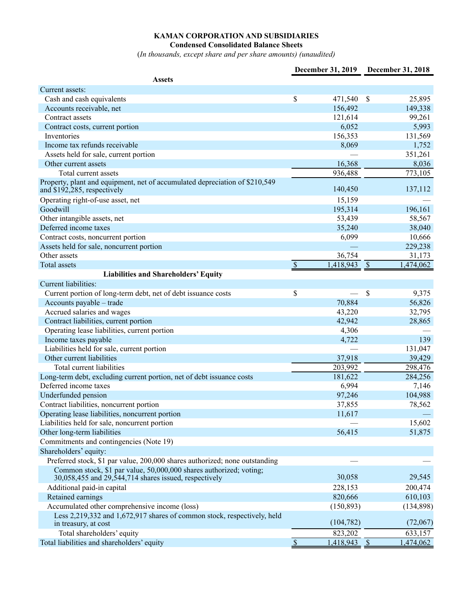**Condensed Consolidated Balance Sheets**

(*In thousands, except share and per share amounts) (unaudited)*

|                                                                                                                             |                           | December 31, 2019 |               | December 31, 2018 |
|-----------------------------------------------------------------------------------------------------------------------------|---------------------------|-------------------|---------------|-------------------|
| <b>Assets</b>                                                                                                               |                           |                   |               |                   |
| Current assets:                                                                                                             |                           |                   |               |                   |
| Cash and cash equivalents                                                                                                   | \$                        | 471,540           | \$            | 25,895            |
| Accounts receivable, net                                                                                                    |                           | 156,492           |               | 149,338           |
| Contract assets                                                                                                             |                           | 121,614           |               | 99,261            |
| Contract costs, current portion                                                                                             |                           | 6,052             |               | 5,993             |
| Inventories                                                                                                                 |                           | 156,353           |               | 131,569           |
| Income tax refunds receivable                                                                                               |                           | 8,069             |               | 1,752             |
| Assets held for sale, current portion                                                                                       |                           |                   |               | 351,261           |
| Other current assets                                                                                                        |                           | 16,368            |               | 8,036             |
| Total current assets                                                                                                        |                           | 936,488           |               | 773,105           |
| Property, plant and equipment, net of accumulated depreciation of \$210,549<br>and \$192,285, respectively                  |                           | 140,450           |               | 137,112           |
| Operating right-of-use asset, net                                                                                           |                           | 15,159            |               |                   |
| Goodwill                                                                                                                    |                           | 195,314           |               | 196,161           |
| Other intangible assets, net                                                                                                |                           | 53,439            |               | 58,567            |
| Deferred income taxes                                                                                                       |                           | 35,240            |               | 38,040            |
| Contract costs, noncurrent portion                                                                                          |                           | 6,099             |               | 10,666            |
| Assets held for sale, noncurrent portion                                                                                    |                           |                   |               | 229,238           |
| Other assets                                                                                                                |                           | 36,754            |               | 31,173            |
| Total assets                                                                                                                | $\boldsymbol{\mathsf{S}}$ | 1,418,943         | $\mathcal{S}$ | 1,474,062         |
| <b>Liabilities and Shareholders' Equity</b>                                                                                 |                           |                   |               |                   |
| Current liabilities:                                                                                                        |                           |                   |               |                   |
| Current portion of long-term debt, net of debt issuance costs                                                               | \$                        |                   | \$            | 9,375             |
| Accounts payable - trade                                                                                                    |                           | 70,884            |               | 56,826            |
| Accrued salaries and wages                                                                                                  |                           | 43,220            |               | 32,795            |
| Contract liabilities, current portion                                                                                       |                           | 42,942            |               | 28,865            |
| Operating lease liabilities, current portion                                                                                |                           | 4,306             |               |                   |
| Income taxes payable                                                                                                        |                           | 4,722             |               | 139               |
| Liabilities held for sale, current portion                                                                                  |                           |                   |               | 131,047           |
| Other current liabilities                                                                                                   |                           | 37,918            |               | 39,429            |
| Total current liabilities                                                                                                   |                           | 203,992           |               | 298,476           |
| Long-term debt, excluding current portion, net of debt issuance costs                                                       |                           | 181,622           |               | 284,256           |
| Deferred income taxes                                                                                                       |                           | 6,994             |               | 7,146             |
| Underfunded pension                                                                                                         |                           | 97,246            |               | 104,988           |
| Contract liabilities, noncurrent portion                                                                                    |                           | 37,855            |               | 78,562            |
| Operating lease liabilities, noncurrent portion                                                                             |                           | 11,617            |               |                   |
| Liabilities held for sale, noncurrent portion                                                                               |                           |                   |               | 15,602            |
| Other long-term liabilities                                                                                                 |                           | 56,415            |               | 51,875            |
| Commitments and contingencies (Note 19)                                                                                     |                           |                   |               |                   |
| Shareholders' equity:                                                                                                       |                           |                   |               |                   |
| Preferred stock, \$1 par value, 200,000 shares authorized; none outstanding                                                 |                           |                   |               |                   |
| Common stock, \$1 par value, 50,000,000 shares authorized; voting;<br>30,058,455 and 29,544,714 shares issued, respectively |                           | 30,058            |               | 29,545            |
| Additional paid-in capital                                                                                                  |                           | 228,153           |               | 200,474           |
| Retained earnings                                                                                                           |                           | 820,666           |               | 610,103           |
| Accumulated other comprehensive income (loss)                                                                               |                           | (150, 893)        |               | (134,898)         |
| Less 2,219,332 and 1,672,917 shares of common stock, respectively, held<br>in treasury, at cost                             |                           | (104, 782)        |               | (72,067)          |
| Total shareholders' equity                                                                                                  |                           | 823,202           |               | 633,157           |
| Total liabilities and shareholders' equity                                                                                  | $\overline{s}$            | 1,418,943 \$      |               | 1,474,062         |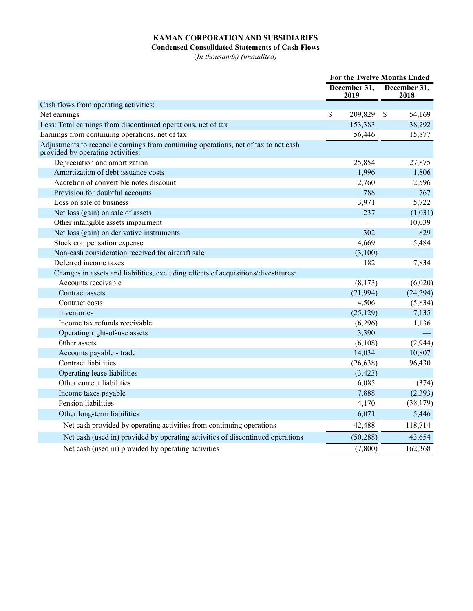#### **Condensed Consolidated Statements of Cash Flows**

(*In thousands) (unaudited)*

|                                                                                                                           |                      | For the Twelve Months Ended |                      |           |
|---------------------------------------------------------------------------------------------------------------------------|----------------------|-----------------------------|----------------------|-----------|
|                                                                                                                           | December 31,<br>2019 |                             | December 31,<br>2018 |           |
| Cash flows from operating activities:                                                                                     |                      |                             |                      |           |
| Net earnings                                                                                                              | \$                   | 209,829                     | $\mathbb{S}$         | 54,169    |
| Less: Total earnings from discontinued operations, net of tax                                                             |                      | 153,383                     |                      | 38,292    |
| Earnings from continuing operations, net of tax                                                                           |                      | 56,446                      |                      | 15,877    |
| Adjustments to reconcile earnings from continuing operations, net of tax to net cash<br>provided by operating activities: |                      |                             |                      |           |
| Depreciation and amortization                                                                                             |                      | 25,854                      |                      | 27,875    |
| Amortization of debt issuance costs                                                                                       |                      | 1,996                       |                      | 1,806     |
| Accretion of convertible notes discount                                                                                   |                      | 2,760                       |                      | 2,596     |
| Provision for doubtful accounts                                                                                           |                      | 788                         |                      | 767       |
| Loss on sale of business                                                                                                  |                      | 3,971                       |                      | 5,722     |
| Net loss (gain) on sale of assets                                                                                         |                      | 237                         |                      | (1,031)   |
| Other intangible assets impairment                                                                                        |                      |                             |                      | 10,039    |
| Net loss (gain) on derivative instruments                                                                                 |                      | 302                         |                      | 829       |
| Stock compensation expense                                                                                                |                      | 4,669                       |                      | 5,484     |
| Non-cash consideration received for aircraft sale                                                                         |                      | (3,100)                     |                      |           |
| Deferred income taxes                                                                                                     |                      | 182                         |                      | 7,834     |
| Changes in assets and liabilities, excluding effects of acquisitions/divestitures:                                        |                      |                             |                      |           |
| Accounts receivable                                                                                                       |                      | (8,173)                     |                      | (6,020)   |
| Contract assets                                                                                                           |                      | (21,994)                    |                      | (24, 294) |
| Contract costs                                                                                                            |                      | 4,506                       |                      | (5,834)   |
| Inventories                                                                                                               |                      | (25, 129)                   |                      | 7,135     |
| Income tax refunds receivable                                                                                             |                      | (6,296)                     |                      | 1,136     |
| Operating right-of-use assets                                                                                             |                      | 3,390                       |                      |           |
| Other assets                                                                                                              |                      | (6,108)                     |                      | (2,944)   |
| Accounts payable - trade                                                                                                  |                      | 14,034                      |                      | 10,807    |
| Contract liabilities                                                                                                      |                      | (26, 638)                   |                      | 96,430    |
| Operating lease liabilities                                                                                               |                      | (3, 423)                    |                      |           |
| Other current liabilities                                                                                                 |                      | 6,085                       |                      | (374)     |
| Income taxes payable                                                                                                      |                      | 7,888                       |                      | (2, 393)  |
| Pension liabilities                                                                                                       |                      | 4,170                       |                      | (38, 179) |
| Other long-term liabilities                                                                                               |                      | 6,071                       |                      | 5,446     |
| Net cash provided by operating activities from continuing operations                                                      |                      | 42,488                      |                      | 118,714   |
| Net cash (used in) provided by operating activities of discontinued operations                                            |                      | (50, 288)                   |                      | 43,654    |
| Net cash (used in) provided by operating activities                                                                       |                      | (7,800)                     |                      | 162,368   |
|                                                                                                                           |                      |                             |                      |           |